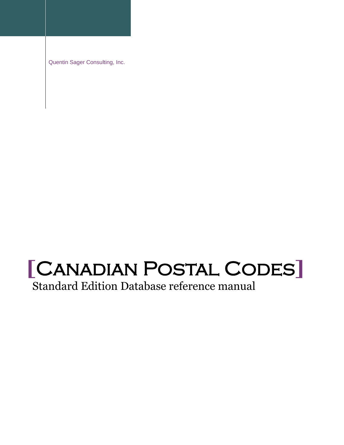Quentin Sager Consulting, Inc.

# **[**Canadian Postal Codes**]**

Standard Edition Database reference manual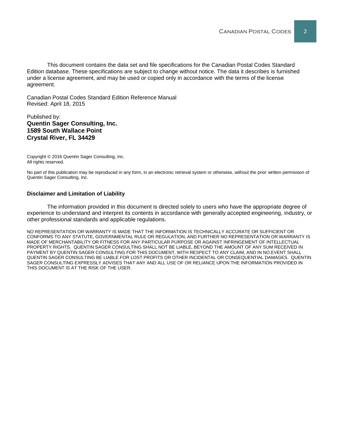This document contains the data set and file specifications for the Canadian Postal Codes Standard Edition database. These specifications are subject to change without notice. The data it describes is furnished under a license agreement, and may be used or copied only in accordance with the terms of the license agreement.

Canadian Postal Codes Standard Edition Reference Manual Revised: April 18, 2015

#### Published by: **Quentin Sager Consulting, Inc. 1589 South Wallace Point Crystal River, FL 34429**

Copyright © 2016 Quentin Sager Consulting, Inc. All rights reserved.

No part of this publication may be reproduced in any form, in an electronic retrieval system or otherwise, without the prior written permission of Quentin Sager Consulting, Inc.

#### **Disclaimer and Limitation of Liability**

The information provided in this document is directed solely to users who have the appropriate degree of experience to understand and interpret its contents in accordance with generally accepted engineering, industry, or other professional standards and applicable regulations.

NO REPRESENTATION OR WARRANTY IS MADE THAT THE INFORMATION IS TECHNICALLY ACCURATE OR SUFFICIENT OR CONFORMS TO ANY STATUTE, GOVERNMENTAL RULE OR REGULATION, AND FURTHER NO REPRESENTATION OR WARRANTY IS MADE OF MERCHANTABILITY OR FITNESS FOR ANY PARTICULAR PURPOSE OR AGAINST INFRINGEMENT OF INTELLECTUAL PROPERTY RIGHTS. QUENTIN SAGER CONSULTING SHALL NOT BE LIABLE, BEYOND THE AMOUNT OF ANY SUM RECEIVED IN PAYMENT BY QUENTIN SAGER CONSULTING FOR THIS DOCUMENT, WITH RESPECT TO ANY CLAIM, AND IN NO EVENT SHALL QUENTIN SAGER CONSULTING BE LIABLE FOR LOST PROFITS OR OTHER INCIDENTAL OR CONSEQUENTIAL DAMAGES. QUENTIN SAGER CONSULTING EXPRESSLY ADVISES THAT ANY AND ALL USE OF OR RELIANCE UPON THE INFORMATION PROVIDED IN THIS DOCUMENT IS AT THE RISK OF THE USER.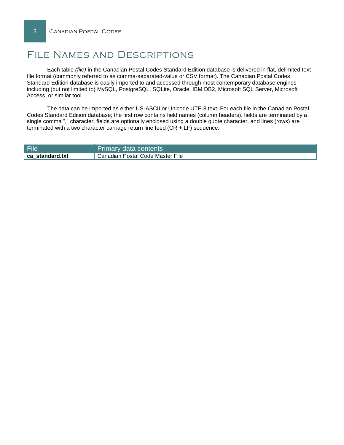## File Names and Descriptions

Each table *(file)* in the Canadian Postal Codes Standard Edition database is delivered in flat, delimited text file format (commonly referred to as comma-separated-value or CSV format). The Canadian Postal Codes Standard Edition database is easily imported to and accessed through most contemporary database engines including (but not limited to) MySQL, PostgreSQL, SQLite, Oracle, IBM DB2, Microsoft SQL Server, Microsoft Access, or similar tool.

The data can be imported as either US-ASCII or Unicode UTF-8 text. For each file in the Canadian Postal Codes Standard Edition database; the first row contains field names (column headers), fields are terminated by a single comma "," character, fields are optionally enclosed using a double quote character, and lines (rows) are terminated with a two character carriage return line feed (CR + LF) sequence.

| File            | Primary data contents            |
|-----------------|----------------------------------|
| ca standard.txt | Canadian Postal Code Master File |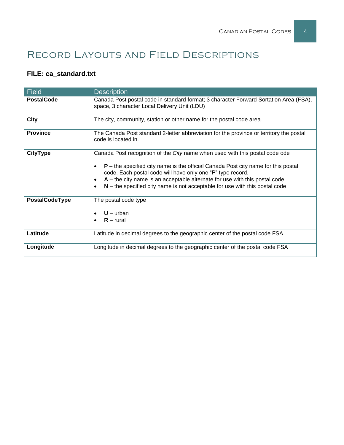# Record Layouts and Field Descriptions

### **FILE: ca\_standard.txt**

| <b>Field</b>      | <b>Description</b>                                                                                                                                                                                                                                                                                                                                                                                              |  |  |  |
|-------------------|-----------------------------------------------------------------------------------------------------------------------------------------------------------------------------------------------------------------------------------------------------------------------------------------------------------------------------------------------------------------------------------------------------------------|--|--|--|
| <b>PostalCode</b> | Canada Post postal code in standard format; 3 character Forward Sortation Area (FSA),<br>space, 3 character Local Delivery Unit (LDU)                                                                                                                                                                                                                                                                           |  |  |  |
| <b>City</b>       | The city, community, station or other name for the postal code area.                                                                                                                                                                                                                                                                                                                                            |  |  |  |
| <b>Province</b>   | The Canada Post standard 2-letter abbreviation for the province or territory the postal<br>code is located in.                                                                                                                                                                                                                                                                                                  |  |  |  |
| <b>CityType</b>   | Canada Post recognition of the City name when used with this postal code ode<br>$P$ – the specified city name is the official Canada Post city name for this postal<br>code. Each postal code will have only one "P" type record.<br>$A$ – the city name is an acceptable alternate for use with this postal code<br>$N$ – the specified city name is not acceptable for use with this postal code<br>$\bullet$ |  |  |  |
| PostalCodeType    | The postal code type<br>$U - urban$<br>$R$ – rural                                                                                                                                                                                                                                                                                                                                                              |  |  |  |
| Latitude          | Latitude in decimal degrees to the geographic center of the postal code FSA                                                                                                                                                                                                                                                                                                                                     |  |  |  |
| Longitude         | Longitude in decimal degrees to the geographic center of the postal code FSA                                                                                                                                                                                                                                                                                                                                    |  |  |  |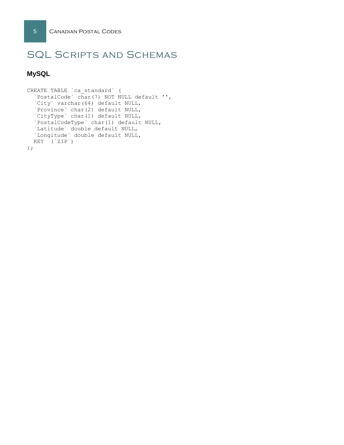# SQL Scripts and Schemas

#### **MySQL**

```
CREATE TABLE `ca_standard` (
  `PostalCode` char(7) NOT NULL default '',
`City` varchar(64) default NULL,
`Province` char(2) default NULL,
`CityType` char(1) default NULL,
  `PostalCodeType` char(1) default NULL,
  `Latitude` double default NULL,
  `Longitude` double default NULL,
 KEY (`ZIP`)
```
);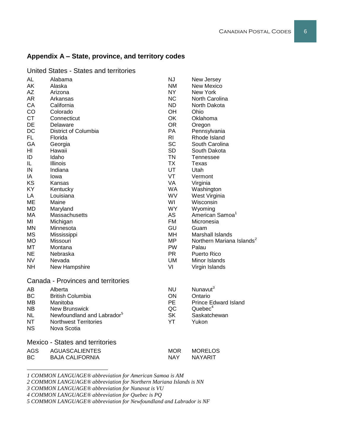#### **Appendix A – State, province, and territory codes**

| <b>AL</b>  | Alabama                                | NJ         | New Jersey                            |
|------------|----------------------------------------|------------|---------------------------------------|
| AK         | Alaska                                 | <b>NM</b>  | <b>New Mexico</b>                     |
| <b>AZ</b>  | Arizona                                | NY.        | New York                              |
| AR         | Arkansas                               | <b>NC</b>  | North Carolina                        |
| CA         | California                             | <b>ND</b>  | North Dakota                          |
| CO         | Colorado                               | OH         | Ohio                                  |
| <b>CT</b>  | Connecticut                            | OK         | Oklahoma                              |
| DE         | Delaware                               | <b>OR</b>  | Oregon                                |
| DC         | District of Columbia                   | PA         | Pennsylvania                          |
| FL.        | Florida                                | RI.        | Rhode Island                          |
| GA         | Georgia                                | <b>SC</b>  | South Carolina                        |
| H          | Hawaii                                 | <b>SD</b>  | South Dakota                          |
| ID         | Idaho                                  | <b>TN</b>  | Tennessee                             |
| IL         | Illinois                               | <b>TX</b>  | Texas                                 |
| IN         | Indiana                                | UT         | Utah                                  |
| ΙA         | lowa                                   | VT         | Vermont                               |
| KS         | Kansas                                 | VA         | Virginia                              |
| KY         | Kentucky                               | <b>WA</b>  | Washington                            |
| LA         | Louisiana                              | WV         | West Virginia                         |
| ME         | Maine                                  | WI         | Wisconsin                             |
| <b>MD</b>  | Maryland                               | <b>WY</b>  | Wyoming                               |
| МA         | Massachusetts                          | AS         | American Samoa <sup>1</sup>           |
| MI         | Michigan                               | <b>FM</b>  | Micronesia                            |
| <b>MN</b>  | Minnesota                              | GU         | Guam                                  |
| <b>MS</b>  | Mississippi                            | MH         | <b>Marshall Islands</b>               |
| <b>MO</b>  | Missouri                               | <b>MP</b>  | Northern Mariana Islands <sup>2</sup> |
| MT         | Montana                                | <b>PW</b>  | Palau                                 |
| <b>NE</b>  | Nebraska                               | <b>PR</b>  | Puerto Rico                           |
| <b>NV</b>  | Nevada                                 | UM         | Minor Islands                         |
| <b>NH</b>  | New Hampshire                          | VI         | Virgin Islands                        |
|            | Canada - Provinces and territories     |            |                                       |
| <b>AB</b>  | Alberta                                | <b>NU</b>  | Nunavut <sup>3</sup>                  |
| BC         | <b>British Columbia</b>                | ON         | Ontario                               |
| MB         | Manitoba                               | <b>PE</b>  | <b>Prince Edward Island</b>           |
| <b>NB</b>  | New Brunswick                          | QC         | Quebec <sup>4</sup>                   |
| <b>NL</b>  | Newfoundland and Labrador <sup>5</sup> | <b>SK</b>  | Saskatchewan                          |
| <b>NT</b>  | <b>Northwest Territories</b>           | YT         | Yukon                                 |
| <b>NS</b>  | Nova Scotia                            |            |                                       |
|            | <b>Mexico - States and territories</b> |            |                                       |
| <b>AGS</b> | <b>AGUASCALIENTES</b>                  | <b>MOR</b> | <b>MORELOS</b>                        |
|            |                                        |            |                                       |

United States - States and territories

*1 COMMON LANGUAGE® abbreviation for American Samoa is AM*

*2 COMMON LANGUAGE® abbreviation for Northern Mariana Islands is NN*

BC BAJA CALIFORNIA NAY NAYARIT

*3 COMMON LANGUAGE® abbreviation for Nunavut is VU*

l

*4 COMMON LANGUAGE® abbreviation for Quebec is PQ*

*5 COMMON LANGUAGE® abbreviation for Newfoundland and Labrador is NF*